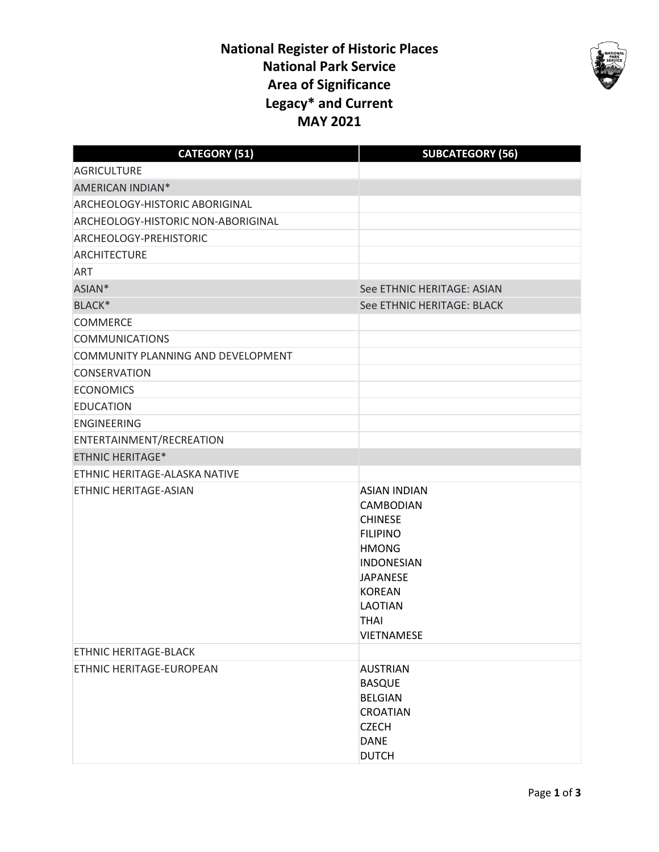## **National Register of Historic Places National Park Service Area of Significance Legacy\* and Current MAY 2021**



| <b>CATEGORY (51)</b>               | <b>SUBCATEGORY (56)</b>                                                                                                                                                                                     |
|------------------------------------|-------------------------------------------------------------------------------------------------------------------------------------------------------------------------------------------------------------|
| AGRICULTURE                        |                                                                                                                                                                                                             |
| AMERICAN INDIAN*                   |                                                                                                                                                                                                             |
| ARCHEOLOGY-HISTORIC ABORIGINAL     |                                                                                                                                                                                                             |
| ARCHEOLOGY-HISTORIC NON-ABORIGINAL |                                                                                                                                                                                                             |
| ARCHEOLOGY-PREHISTORIC             |                                                                                                                                                                                                             |
| <b>ARCHITECTURE</b>                |                                                                                                                                                                                                             |
| <b>ART</b>                         |                                                                                                                                                                                                             |
| ASIAN*                             | See ETHNIC HERITAGE: ASIAN                                                                                                                                                                                  |
| BLACK*                             | See ETHNIC HERITAGE: BLACK                                                                                                                                                                                  |
| <b>COMMERCE</b>                    |                                                                                                                                                                                                             |
| <b>COMMUNICATIONS</b>              |                                                                                                                                                                                                             |
| COMMUNITY PLANNING AND DEVELOPMENT |                                                                                                                                                                                                             |
| <b>CONSERVATION</b>                |                                                                                                                                                                                                             |
| <b>ECONOMICS</b>                   |                                                                                                                                                                                                             |
| <b>EDUCATION</b>                   |                                                                                                                                                                                                             |
| <b>ENGINEERING</b>                 |                                                                                                                                                                                                             |
| ENTERTAINMENT/RECREATION           |                                                                                                                                                                                                             |
| <b>ETHNIC HERITAGE*</b>            |                                                                                                                                                                                                             |
| ETHNIC HERITAGE-ALASKA NATIVE      |                                                                                                                                                                                                             |
| ETHNIC HERITAGE-ASIAN              | <b>ASIAN INDIAN</b><br><b>CAMBODIAN</b><br><b>CHINESE</b><br><b>FILIPINO</b><br><b>HMONG</b><br><b>INDONESIAN</b><br><b>JAPANESE</b><br><b>KOREAN</b><br><b>LAOTIAN</b><br><b>THAI</b><br><b>VIETNAMESE</b> |
| ETHNIC HERITAGE-BLACK              |                                                                                                                                                                                                             |
| ETHNIC HERITAGE-EUROPEAN           | <b>AUSTRIAN</b><br><b>BASQUE</b><br><b>BELGIAN</b><br><b>CROATIAN</b><br><b>CZECH</b><br><b>DANE</b><br><b>DUTCH</b>                                                                                        |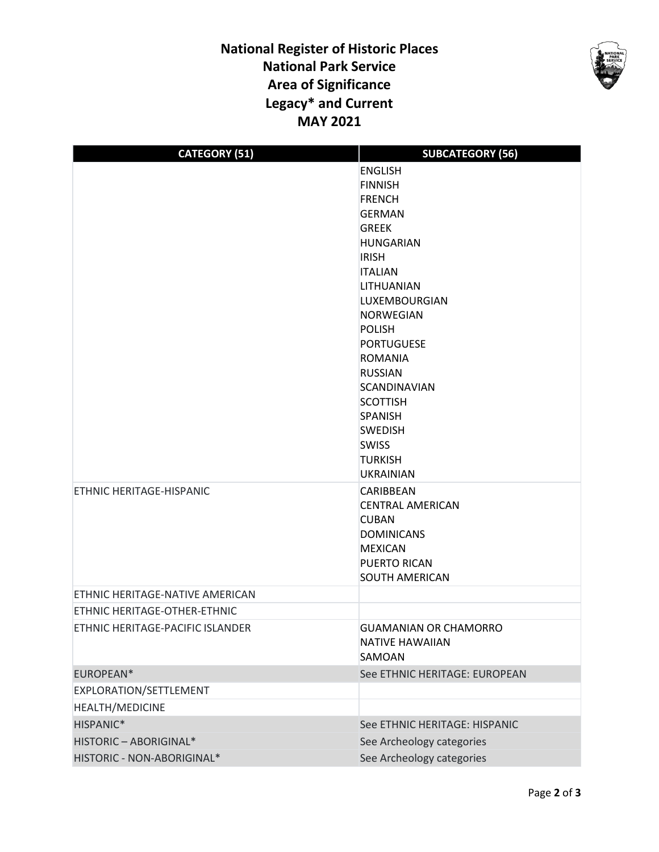## **National Register of Historic Places National Park Service Area of Significance Legacy\* and Current MAY 2021**



| <b>CATEGORY (51)</b>             | <b>SUBCATEGORY (56)</b>             |
|----------------------------------|-------------------------------------|
|                                  | <b>ENGLISH</b>                      |
|                                  | <b>FINNISH</b>                      |
|                                  | <b>FRENCH</b>                       |
|                                  | <b>GERMAN</b>                       |
|                                  | <b>GREEK</b>                        |
|                                  | <b>HUNGARIAN</b>                    |
|                                  | <b>IRISH</b>                        |
|                                  | <b>ITALIAN</b>                      |
|                                  | LITHUANIAN                          |
|                                  | LUXEMBOURGIAN                       |
|                                  | <b>NORWEGIAN</b>                    |
|                                  | <b>POLISH</b>                       |
|                                  | <b>PORTUGUESE</b><br><b>ROMANIA</b> |
|                                  | <b>RUSSIAN</b>                      |
|                                  | <b>SCANDINAVIAN</b>                 |
|                                  | <b>SCOTTISH</b>                     |
|                                  | <b>SPANISH</b>                      |
|                                  | <b>SWEDISH</b>                      |
|                                  | <b>SWISS</b>                        |
|                                  | <b>TURKISH</b>                      |
|                                  | <b>UKRAINIAN</b>                    |
| ETHNIC HERITAGE-HISPANIC         | CARIBBEAN                           |
|                                  | <b>CENTRAL AMERICAN</b>             |
|                                  | <b>CUBAN</b>                        |
|                                  | <b>DOMINICANS</b>                   |
|                                  | <b>MEXICAN</b>                      |
|                                  | <b>PUERTO RICAN</b>                 |
|                                  | <b>SOUTH AMERICAN</b>               |
| ETHNIC HERITAGE-NATIVE AMERICAN  |                                     |
| ETHNIC HERITAGE-OTHER-ETHNIC     |                                     |
| ETHNIC HERITAGE-PACIFIC ISLANDER | <b>GUAMANIAN OR CHAMORRO</b>        |
|                                  | <b>NATIVE HAWAIIAN</b>              |
|                                  | SAMOAN                              |
| EUROPEAN*                        | See ETHNIC HERITAGE: EUROPEAN       |
| EXPLORATION/SETTLEMENT           |                                     |
| <b>HEALTH/MEDICINE</b>           |                                     |
| HISPANIC*                        | See ETHNIC HERITAGE: HISPANIC       |
| HISTORIC - ABORIGINAL*           | See Archeology categories           |
| HISTORIC - NON-ABORIGINAL*       | See Archeology categories           |